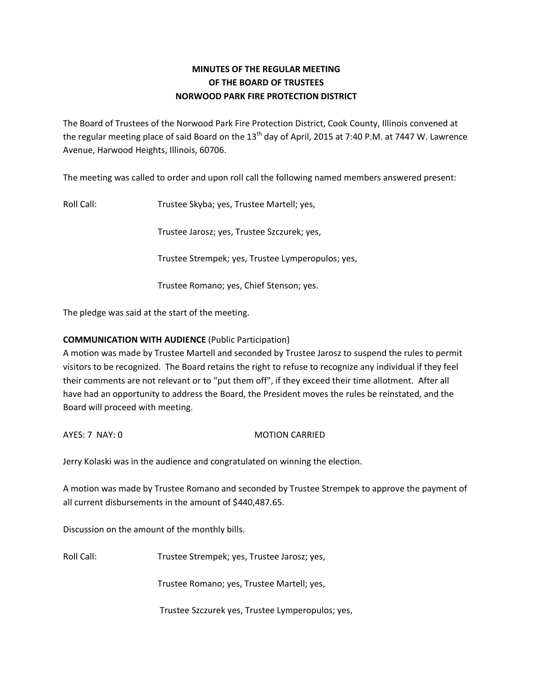# **MINUTES OF THE REGULAR MEETING OF THE BOARD OF TRUSTEES NORWOOD PARK FIRE PROTECTION DISTRICT**

The Board of Trustees of the Norwood Park Fire Protection District, Cook County, Illinois convened at the regular meeting place of said Board on the 13<sup>th</sup> day of April, 2015 at 7:40 P.M. at 7447 W. Lawrence Avenue, Harwood Heights, Illinois, 60706.

The meeting was called to order and upon roll call the following named members answered present:

Roll Call: Trustee Skyba; yes, Trustee Martell; yes,

Trustee Jarosz; yes, Trustee Szczurek; yes,

Trustee Strempek; yes, Trustee Lymperopulos; yes,

Trustee Romano; yes, Chief Stenson; yes.

The pledge was said at the start of the meeting.

# **COMMUNICATION WITH AUDIENCE** (Public Participation)

A motion was made by Trustee Martell and seconded by Trustee Jarosz to suspend the rules to permit visitors to be recognized. The Board retains the right to refuse to recognize any individual if they feel their comments are not relevant or to "put them off", if they exceed their time allotment. After all have had an opportunity to address the Board, the President moves the rules be reinstated, and the Board will proceed with meeting.

AYES: 7 NAY: 0 MOTION CARRIED

Jerry Kolaski was in the audience and congratulated on winning the election.

A motion was made by Trustee Romano and seconded by Trustee Strempek to approve the payment of all current disbursements in the amount of \$440,487.65.

Discussion on the amount of the monthly bills.

Roll Call: Trustee Strempek; yes, Trustee Jarosz; yes,

Trustee Romano; yes, Trustee Martell; yes,

Trustee Szczurek yes, Trustee Lymperopulos; yes,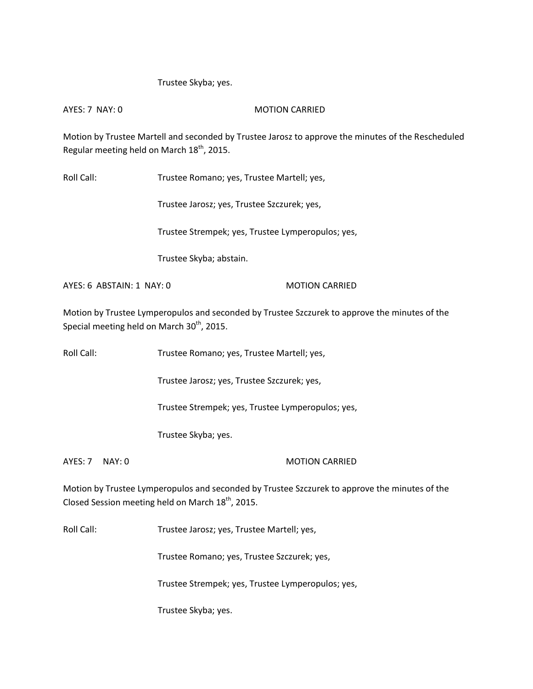# Trustee Skyba; yes.

AYES: 7 NAY: 0 MOTION CARRIED

Motion by Trustee Martell and seconded by Trustee Jarosz to approve the minutes of the Rescheduled Regular meeting held on March  $18<sup>th</sup>$ , 2015.

Roll Call: Trustee Romano; yes, Trustee Martell; yes,

Trustee Jarosz; yes, Trustee Szczurek; yes,

Trustee Strempek; yes, Trustee Lymperopulos; yes,

Trustee Skyba; abstain.

AYES: 6 ABSTAIN: 1 NAY: 0 MOTION CARRIED

Motion by Trustee Lymperopulos and seconded by Trustee Szczurek to approve the minutes of the Special meeting held on March 30<sup>th</sup>, 2015.

Roll Call: Trustee Romano; yes, Trustee Martell; yes,

Trustee Jarosz; yes, Trustee Szczurek; yes,

Trustee Strempek; yes, Trustee Lymperopulos; yes,

Trustee Skyba; yes.

AYES: 7 NAY: 0 MOTION CARRIED

Motion by Trustee Lymperopulos and seconded by Trustee Szczurek to approve the minutes of the Closed Session meeting held on March  $18^{th}$ , 2015.

Roll Call: Trustee Jarosz; yes, Trustee Martell; yes,

Trustee Romano; yes, Trustee Szczurek; yes,

Trustee Strempek; yes, Trustee Lymperopulos; yes,

Trustee Skyba; yes.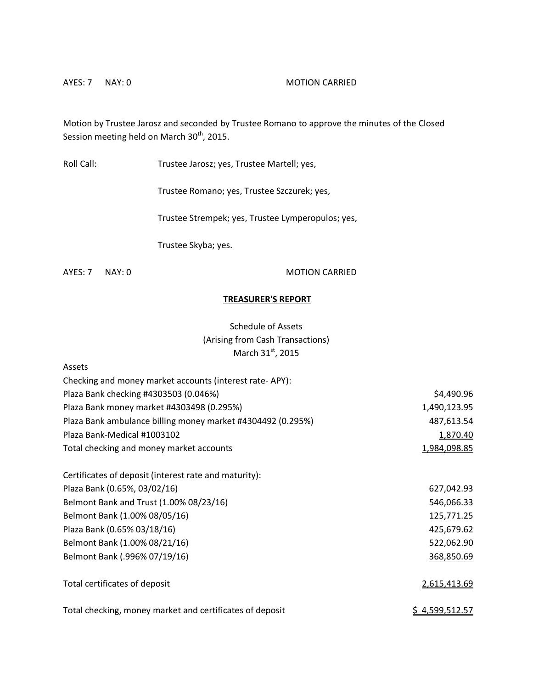## AYES: 7 NAY: 0 MOTION CARRIED

Motion by Trustee Jarosz and seconded by Trustee Romano to approve the minutes of the Closed Session meeting held on March 30<sup>th</sup>, 2015.

Roll Call: Trustee Jarosz; yes, Trustee Martell; yes,

Trustee Romano; yes, Trustee Szczurek; yes,

Trustee Strempek; yes, Trustee Lymperopulos; yes,

Trustee Skyba; yes.

AYES: 7 NAY: 0 MOTION CARRIED

## **TREASURER'S REPORT**

# Schedule of Assets (Arising from Cash Transactions) March  $31<sup>st</sup>$ , 2015

| Assets                                                      |                       |
|-------------------------------------------------------------|-----------------------|
| Checking and money market accounts (interest rate-APY):     |                       |
| Plaza Bank checking #4303503 (0.046%)                       | \$4,490.96            |
| Plaza Bank money market #4303498 (0.295%)                   | 1,490,123.95          |
| Plaza Bank ambulance billing money market #4304492 (0.295%) | 487,613.54            |
| Plaza Bank-Medical #1003102                                 | 1,870.40              |
| Total checking and money market accounts                    | 1,984,098.85          |
| Certificates of deposit (interest rate and maturity):       |                       |
| Plaza Bank (0.65%, 03/02/16)                                | 627,042.93            |
| Belmont Bank and Trust (1.00% 08/23/16)                     | 546,066.33            |
| Belmont Bank (1.00% 08/05/16)                               | 125,771.25            |
| Plaza Bank (0.65% 03/18/16)                                 | 425,679.62            |
| Belmont Bank (1.00% 08/21/16)                               | 522,062.90            |
| Belmont Bank (.996% 07/19/16)                               | 368,850.69            |
| Total certificates of deposit                               | 2,615,413.69          |
| Total checking, money market and certificates of deposit    | <u>\$4,599,512.57</u> |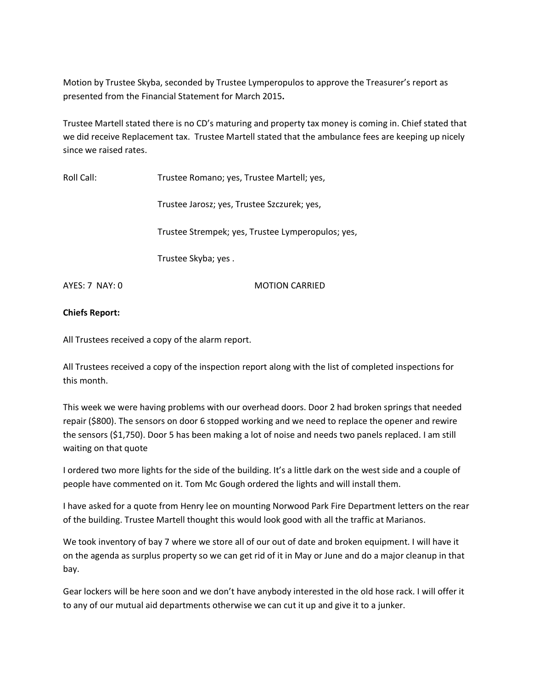Motion by Trustee Skyba, seconded by Trustee Lymperopulos to approve the Treasurer's report as presented from the Financial Statement for March 2015**.** 

Trustee Martell stated there is no CD's maturing and property tax money is coming in. Chief stated that we did receive Replacement tax. Trustee Martell stated that the ambulance fees are keeping up nicely since we raised rates.

Roll Call: Trustee Romano; yes, Trustee Martell; yes,

Trustee Jarosz; yes, Trustee Szczurek; yes,

Trustee Strempek; yes, Trustee Lymperopulos; yes,

Trustee Skyba; yes .

AYES: 7 NAY: 0 MOTION CARRIED

## **Chiefs Report:**

All Trustees received a copy of the alarm report.

All Trustees received a copy of the inspection report along with the list of completed inspections for this month.

This week we were having problems with our overhead doors. Door 2 had broken springs that needed repair (\$800). The sensors on door 6 stopped working and we need to replace the opener and rewire the sensors (\$1,750). Door 5 has been making a lot of noise and needs two panels replaced. I am still waiting on that quote

I ordered two more lights for the side of the building. It's a little dark on the west side and a couple of people have commented on it. Tom Mc Gough ordered the lights and will install them.

I have asked for a quote from Henry lee on mounting Norwood Park Fire Department letters on the rear of the building. Trustee Martell thought this would look good with all the traffic at Marianos.

We took inventory of bay 7 where we store all of our out of date and broken equipment. I will have it on the agenda as surplus property so we can get rid of it in May or June and do a major cleanup in that bay.

Gear lockers will be here soon and we don't have anybody interested in the old hose rack. I will offer it to any of our mutual aid departments otherwise we can cut it up and give it to a junker.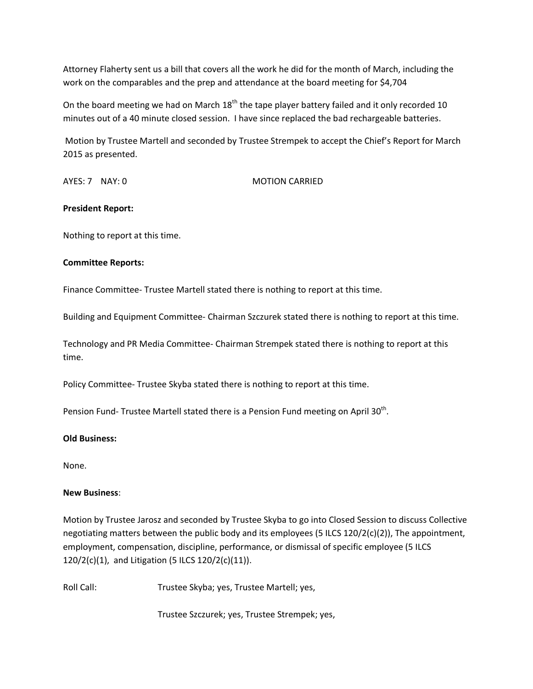Attorney Flaherty sent us a bill that covers all the work he did for the month of March, including the work on the comparables and the prep and attendance at the board meeting for \$4,704

On the board meeting we had on March 18<sup>th</sup> the tape player battery failed and it only recorded 10 minutes out of a 40 minute closed session. I have since replaced the bad rechargeable batteries.

Motion by Trustee Martell and seconded by Trustee Strempek to accept the Chief's Report for March 2015 as presented.

AYES: 7 NAY: 0 MOTION CARRIED

## **President Report:**

Nothing to report at this time.

## **Committee Reports:**

Finance Committee- Trustee Martell stated there is nothing to report at this time.

Building and Equipment Committee- Chairman Szczurek stated there is nothing to report at this time.

Technology and PR Media Committee- Chairman Strempek stated there is nothing to report at this time.

Policy Committee- Trustee Skyba stated there is nothing to report at this time.

Pension Fund- Trustee Martell stated there is a Pension Fund meeting on April 30<sup>th</sup>.

## **Old Business:**

None.

## **New Business**:

Motion by Trustee Jarosz and seconded by Trustee Skyba to go into Closed Session to discuss Collective negotiating matters between the public body and its employees (5 ILCS 120/2(c)(2)), The appointment, employment, compensation, discipline, performance, or dismissal of specific employee (5 ILCS 120/2(c)(1), and Litigation (5 ILCS 120/2(c)(11)).

Roll Call: Trustee Skyba; yes, Trustee Martell; yes,

Trustee Szczurek; yes, Trustee Strempek; yes,